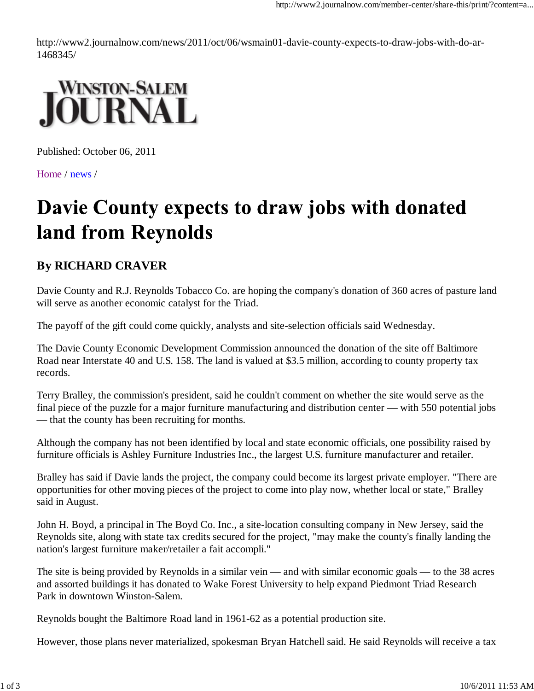http://www2.journalnow.com/news/2011/oct/06/wsmain01-davie-county-expects-to-draw-jobs-with-do-ar-1468345/



Published: October 06, 2011

Home / news /

## Davie County expects to draw jobs with donated land from Reynolds

## **By RICHARD CRAVER**

Davie County and R.J. Reynolds Tobacco Co. are hoping the company's donation of 360 acres of pasture land will serve as another economic catalyst for the Triad.

The payoff of the gift could come quickly, analysts and site-selection officials said Wednesday.

The Davie County Economic Development Commission announced the donation of the site off Baltimore Road near Interstate 40 and U.S. 158. The land is valued at \$3.5 million, according to county property tax records.

Terry Bralley, the commission's president, said he couldn't comment on whether the site would serve as the final piece of the puzzle for a major furniture manufacturing and distribution center — with 550 potential jobs — that the county has been recruiting for months.

Although the company has not been identified by local and state economic officials, one possibility raised by furniture officials is Ashley Furniture Industries Inc., the largest U.S. furniture manufacturer and retailer.

Bralley has said if Davie lands the project, the company could become its largest private employer. "There are opportunities for other moving pieces of the project to come into play now, whether local or state," Bralley said in August.

John H. Boyd, a principal in The Boyd Co. Inc., a site-location consulting company in New Jersey, said the Reynolds site, along with state tax credits secured for the project, "may make the county's finally landing the nation's largest furniture maker/retailer a fait accompli."

The site is being provided by Reynolds in a similar vein — and with similar economic goals — to the 38 acres and assorted buildings it has donated to Wake Forest University to help expand Piedmont Triad Research Park in downtown Winston-Salem.

Reynolds bought the Baltimore Road land in 1961-62 as a potential production site.

However, those plans never materialized, spokesman Bryan Hatchell said. He said Reynolds will receive a tax